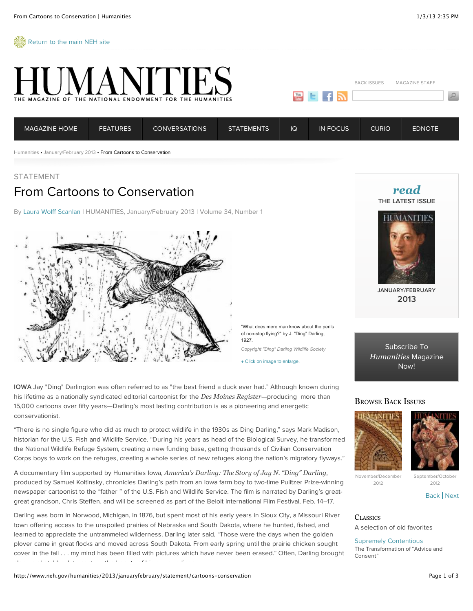$\frac{2}{3}$  [Return to the main NEH site](http://www.neh.gov/)



+ Click on image to enlarge.

**IOWA** Jay "Ding" Darlington was often referred to as "the best friend a duck ever had." Although known during his lifetime as a nationally syndicated editorial cartoonist for the *Des Moines Register*—producing more than 15,000 cartoons over fifty years—Darling's most lasting contribution is as a pioneering and energetic conservationist.

"There is no single figure who did as much to protect wildlife in the 1930s as Ding Darling," says Mark Madison, historian for the U.S. Fish and Wildlife Service. "During his years as head of the Biological Survey, he transformed the National Wildlife Refuge System, creating a new funding base, getting thousands of Civilian Conservation Corps boys to work on the refuges, creating a whole series of new refuges along the nation's migratory flyways."

A documentary film supported by Humanities Iowa, *America's Darling: The Story of Jay N. "Ding" Darling*, produced by Samuel Koltinsky, chronicles Darling's path from an Iowa farm boy to two-time Pulitzer Prize-winning newspaper cartoonist to the "father " of the U.S. Fish and Wildlife Service. The film is narrated by Darling's greatgreat grandson, Chris Steffen, and will be screened as part of the Beloit International Film Festival, Feb. 14–17.

Darling was born in Norwood, Michigan, in 1876, but spent most of his early years in Sioux City, a Missouri River town offering access to the unspoiled prairies of Nebraska and South Dakota, where he hunted, fished, and learned to appreciate the untrammeled wilderness. Darling later said, "Those were the days when the golden plover came in great flocks and moved across South Dakota. From early spring until the prairie chicken sought cover in the fall . . . my mind has been filled with pictures which have never been erased." Often, Darling brought along a sketchbook to capture the beauty of his surroundings.

*[read](http://www.neh.gov/humanities/back-issues/vol34/issue1)* **THE LATEST ISSUE**



**JANUARY/FEBRUARY 2013**

[Subscribe To](http://bookstore.gpo.gov/actions/GetPublication.do?stocknumber=736-002-00000-1) *Humanities* Magazine Now!

## BROWSE BACK ISSUES





November/December 2012

[Back](http://www.neh.gov/humanities/2013/januaryfebruary/statement/cartoons-conservation#) | [Next](http://www.neh.gov/humanities/2013/januaryfebruary/statement/cartoons-conservation#)

2012

**CLASSICS** A selection of old favorites

[Supremely Contentious](http://www.neh.gov/humanities/2009/septemberoctober/feature/supremely-contentious) The Transformation of "Advice and Consent"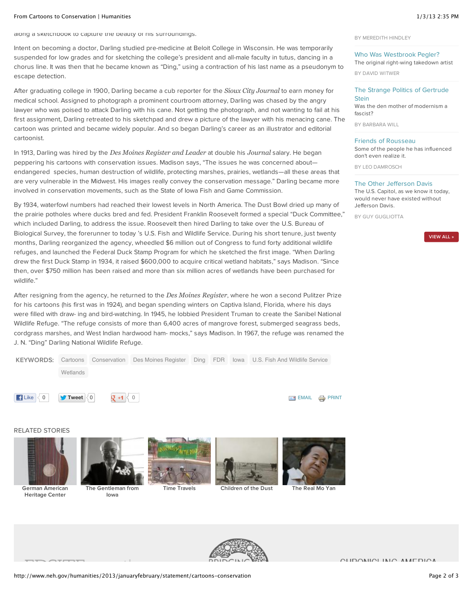#### From Cartoons to Conservation | Humanities 1/3/13 2:35 PM

along a sketchbook to capture the beauty of his surroundings.

Intent on becoming a doctor, Darling studied pre-medicine at Beloit College in Wisconsin. He was temporarily suspended for low grades and for sketching the college's president and all-male faculty in tutus, dancing in a chorus line. It was then that he became known as "Ding," using a contraction of his last name as a pseudonym to escape detection.

After graduating college in 1900, Darling became a cub reporter for the *Sioux City Journal* to earn money for medical school. Assigned to photograph a prominent courtroom attorney, Darling was chased by the angry lawyer who was poised to attack Darling with his cane. Not getting the photograph, and not wanting to fail at his first assignment, Darling retreated to his sketchpad and drew a picture of the lawyer with his menacing cane. The cartoon was printed and became widely popular. And so began Darling's career as an illustrator and editorial cartoonist.

In 1913, Darling was hired by the *Des Moines Register and Leader* at double his *Journal* salary. He began peppering his cartoons with conservation issues. Madison says, "The issues he was concerned about endangered species, human destruction of wildlife, protecting marshes, prairies, wetlands—all these areas that are very vulnerable in the Midwest. His images really convey the conservation message." Darling became more involved in conservation movements, such as the State of Iowa Fish and Game Commission.

By 1934, waterfowl numbers had reached their lowest levels in North America. The Dust Bowl dried up many of the prairie potholes where ducks bred and fed. President Franklin Roosevelt formed a special "Duck Committee," which included Darling, to address the issue. Roosevelt then hired Darling to take over the U.S. Bureau of Biological Survey, the forerunner to today 's U.S. Fish and Wildlife Service. During his short tenure, just twenty months, Darling reorganized the agency, wheedled \$6 million out of Congress to fund forty additional wildlife refuges, and launched the Federal Duck Stamp Program for which he sketched the first image. "When Darling drew the first Duck Stamp in 1934, it raised \$600,000 to acquire critical wetland habitats," says Madison. "Since then, over \$750 million has been raised and more than six million acres of wetlands have been purchased for wildlife."

After resigning from the agency, he returned to the *Des Moines Register*, where he won a second Pulitzer Prize for his cartoons (his first was in 1924), and began spending winters on Captiva Island, Florida, where his days were filled with draw- ing and bird-watching. In 1945, he lobbied President Truman to create the Sanibel National Wildlife Refuge. "The refuge consists of more than 6,400 acres of mangrove forest, submerged seagrass beds, cordgrass marshes, and West Indian hardwood ham- mocks," says Madison. In 1967, the refuge was renamed the J. N. "Ding" Darling National Wildlife Refuge.

| <b>KEYWORDS:</b>                         | Cartoons                                  |           | Conservation Des Moines Register |  | Ding FDR Iowa U.S. Fish And Wildlife Service |                                    |  |
|------------------------------------------|-------------------------------------------|-----------|----------------------------------|--|----------------------------------------------|------------------------------------|--|
|                                          | Wetlands                                  |           |                                  |  |                                              |                                    |  |
| $\left  \right $ Like $\left  \right $ 0 | $\blacktriangleright$ Tweet $\langle 0  $ | Q7 +1 K 0 |                                  |  |                                              | $\equiv$ EMAIL $\Rightarrow$ PRINT |  |
|                                          |                                           |           |                                  |  |                                              |                                    |  |

RELATED STORIES



**Heritage Center**

**[The Gentleman from](http://www.neh.gov/humanities/2009/novemberdecember/conversation/the-gentleman-iowa) Iowa**







**[Time Travels](http://www.neh.gov/humanities/2009/julyaugust/statement/time-travels) [Children of the Dust](http://www.neh.gov/humanities/2012/novemberdecember/feature/children-the-dust) [The Real Mo Yan](http://www.neh.gov/humanities/2011/januaryfebruary/conversation/the-real-mo-yan)**



BY MEREDITH HINDLEY

## [Who Was Westbrook Pegler?](http://www.neh.gov/humanities/2012/marchapril/feature/who-was-westbrook-pegler) The original right-wing takedown artist

BY DAVID WITWER

#### [The Strange Politics of Gertrude](http://www.neh.gov/humanities/2012/marchapril/feature/the-strange-politics-gertrude-stein) **Stein**

Was the den mother of modernism a fascist?

BY BARBARA WILL

### [Friends of Rousseau](http://www.neh.gov/humanities/2012/julyaugust/feature/friends-rousseau)

Some of the people he has influenced don't even realize it.

BY LEO DAMROSCH

### [The Other Jefferson Davis](http://www.neh.gov/humanities/2012/septemberoctober/feature/the-other-jefferson-davis)

The U.S. Capitol, as we know it today, would never have existed without Jefferson Davis.

BY GUY GUGLIOTTA



**CUDOMICLINIC AMERICA**